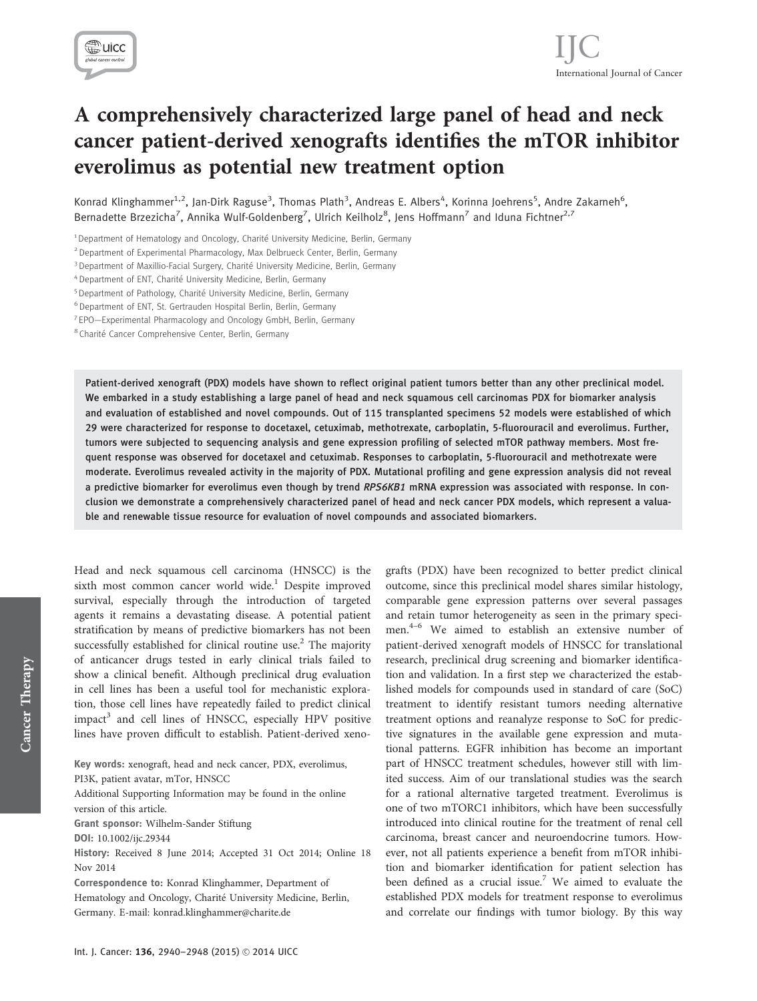

# A comprehensively characterized large panel of head and neck cancer patient-derived xenografts identifies the mTOR inhibitor everolimus as potential new treatment option

Konrad Klinghammer<sup>1,2</sup>, Jan-Dirk Raguse<sup>3</sup>, Thomas Plath<sup>3</sup>, Andreas E. Albers<sup>4</sup>, Korinna Joehrens<sup>5</sup>, Andre Zakarneh<sup>6</sup>, Bernadette Brzezicha<sup>7</sup>, Annika Wulf-Goldenberg<sup>7</sup>, Ulrich Keilholz<sup>8</sup>, Jens Hoffmann<sup>7</sup> and Iduna Fichtner<sup>2,7</sup>

<sup>1</sup> Department of Hematology and Oncology, Charité University Medicine, Berlin, Germany

<sup>2</sup> Department of Experimental Pharmacology, Max Delbrueck Center, Berlin, Germany

<sup>3</sup> Department of Maxillio-Facial Surgery, Charité University Medicine, Berlin, Germany

<sup>4</sup> Department of ENT, Charité University Medicine, Berlin, Germany

- <sup>5</sup> Department of Pathology, Charité University Medicine, Berlin, Germany
- <sup>6</sup> Department of ENT, St. Gertrauden Hospital Berlin, Berlin, Germany
- <sup>7</sup> EPO—Experimental Pharmacology and Oncology GmbH, Berlin, Germany

<sup>8</sup> Charité Cancer Comprehensive Center, Berlin, Germany

Patient-derived xenograft (PDX) models have shown to reflect original patient tumors better than any other preclinical model. We embarked in a study establishing a large panel of head and neck squamous cell carcinomas PDX for biomarker analysis and evaluation of established and novel compounds. Out of 115 transplanted specimens 52 models were established of which 29 were characterized for response to docetaxel, cetuximab, methotrexate, carboplatin, 5-fluorouracil and everolimus. Further, tumors were subjected to sequencing analysis and gene expression profiling of selected mTOR pathway members. Most frequent response was observed for docetaxel and cetuximab. Responses to carboplatin, 5-fluorouracil and methotrexate were moderate. Everolimus revealed activity in the majority of PDX. Mutational profiling and gene expression analysis did not reveal a predictive biomarker for everolimus even though by trend RPS6KB1 mRNA expression was associated with response. In conclusion we demonstrate a comprehensively characterized panel of head and neck cancer PDX models, which represent a valuable and renewable tissue resource for evaluation of novel compounds and associated biomarkers.

Head and neck squamous cell carcinoma (HNSCC) is the sixth most common cancer world wide.<sup>1</sup> Despite improved survival, especially through the introduction of targeted agents it remains a devastating disease. A potential patient stratification by means of predictive biomarkers has not been successfully established for clinical routine use.<sup>2</sup> The majority of anticancer drugs tested in early clinical trials failed to show a clinical benefit. Although preclinical drug evaluation in cell lines has been a useful tool for mechanistic exploration, those cell lines have repeatedly failed to predict clinical  $impat<sup>3</sup>$  and cell lines of HNSCC, especially HPV positive lines have proven difficult to establish. Patient-derived xeno-

Key words: xenograft, head and neck cancer, PDX, everolimus, PI3K, patient avatar, mTor, HNSCC Additional Supporting Information may be found in the online version of this article. Grant sponsor: Wilhelm-Sander Stiftung DOI: 10.1002/ijc.29344 History: Received 8 June 2014; Accepted 31 Oct 2014; Online 18 Nov 2014 Correspondence to: Konrad Klinghammer, Department of Hematology and Oncology, Charité University Medicine, Berlin, Germany. E-mail: konrad.klinghammer@charite.de

grafts (PDX) have been recognized to better predict clinical outcome, since this preclinical model shares similar histology, comparable gene expression patterns over several passages and retain tumor heterogeneity as seen in the primary specimen.<sup>4-6</sup> We aimed to establish an extensive number of patient-derived xenograft models of HNSCC for translational research, preclinical drug screening and biomarker identification and validation. In a first step we characterized the established models for compounds used in standard of care (SoC) treatment to identify resistant tumors needing alternative treatment options and reanalyze response to SoC for predictive signatures in the available gene expression and mutational patterns. EGFR inhibition has become an important part of HNSCC treatment schedules, however still with limited success. Aim of our translational studies was the search for a rational alternative targeted treatment. Everolimus is one of two mTORC1 inhibitors, which have been successfully introduced into clinical routine for the treatment of renal cell carcinoma, breast cancer and neuroendocrine tumors. However, not all patients experience a benefit from mTOR inhibition and biomarker identification for patient selection has been defined as a crucial issue.<sup>7</sup> We aimed to evaluate the established PDX models for treatment response to everolimus and correlate our findings with tumor biology. By this way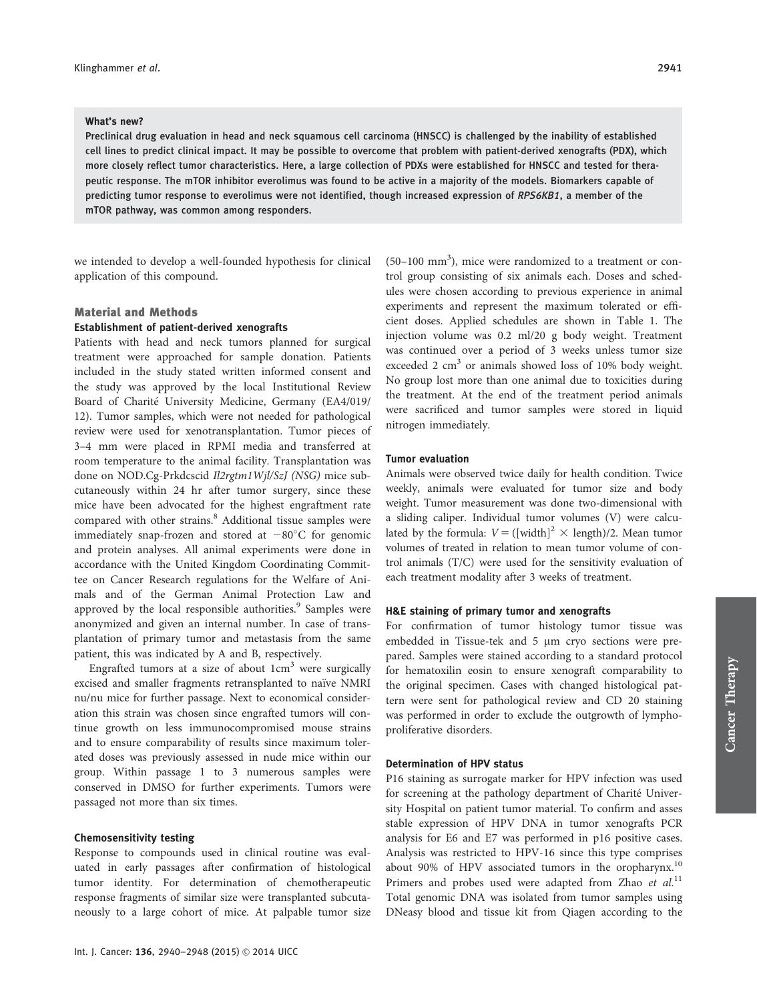#### What's new?

Preclinical drug evaluation in head and neck squamous cell carcinoma (HNSCC) is challenged by the inability of established cell lines to predict clinical impact. It may be possible to overcome that problem with patient-derived xenografts (PDX), which more closely reflect tumor characteristics. Here, a large collection of PDXs were established for HNSCC and tested for therapeutic response. The mTOR inhibitor everolimus was found to be active in a majority of the models. Biomarkers capable of predicting tumor response to everolimus were not identified, though increased expression of RPS6KB1, a member of the mTOR pathway, was common among responders.

we intended to develop a well-founded hypothesis for clinical application of this compound.

# Material and Methods Establishment of patient-derived xenografts

Patients with head and neck tumors planned for surgical treatment were approached for sample donation. Patients included in the study stated written informed consent and the study was approved by the local Institutional Review Board of Charité University Medicine, Germany (EA4/019/ 12). Tumor samples, which were not needed for pathological review were used for xenotransplantation. Tumor pieces of 3–4 mm were placed in RPMI media and transferred at room temperature to the animal facility. Transplantation was done on NOD.Cg-Prkdcscid Il2rgtm1Wjl/SzJ (NSG) mice subcutaneously within 24 hr after tumor surgery, since these mice have been advocated for the highest engraftment rate compared with other strains.<sup>8</sup> Additional tissue samples were immediately snap-frozen and stored at  $-80^{\circ}$ C for genomic and protein analyses. All animal experiments were done in accordance with the United Kingdom Coordinating Committee on Cancer Research regulations for the Welfare of Animals and of the German Animal Protection Law and approved by the local responsible authorities.<sup>9</sup> Samples were anonymized and given an internal number. In case of transplantation of primary tumor and metastasis from the same patient, this was indicated by A and B, respectively.

Engrafted tumors at a size of about  $1 \text{cm}^3$  were surgically excised and smaller fragments retransplanted to naïve NMRI nu/nu mice for further passage. Next to economical consideration this strain was chosen since engrafted tumors will continue growth on less immunocompromised mouse strains and to ensure comparability of results since maximum tolerated doses was previously assessed in nude mice within our group. Within passage 1 to 3 numerous samples were conserved in DMSO for further experiments. Tumors were passaged not more than six times.

#### Chemosensitivity testing

Response to compounds used in clinical routine was evaluated in early passages after confirmation of histological tumor identity. For determination of chemotherapeutic response fragments of similar size were transplanted subcutaneously to a large cohort of mice. At palpable tumor size

 $(50-100$  mm<sup>3</sup>), mice were randomized to a treatment or control group consisting of six animals each. Doses and schedules were chosen according to previous experience in animal experiments and represent the maximum tolerated or efficient doses. Applied schedules are shown in Table 1. The injection volume was 0.2 ml/20 g body weight. Treatment was continued over a period of 3 weeks unless tumor size exceeded 2  $\text{cm}^3$  or animals showed loss of 10% body weight. No group lost more than one animal due to toxicities during the treatment. At the end of the treatment period animals were sacrificed and tumor samples were stored in liquid nitrogen immediately.

# Tumor evaluation

Animals were observed twice daily for health condition. Twice weekly, animals were evaluated for tumor size and body weight. Tumor measurement was done two-dimensional with a sliding caliper. Individual tumor volumes (V) were calculated by the formula:  $V = ([width]^2 \times length)/2$ . Mean tumor volumes of treated in relation to mean tumor volume of control animals (T/C) were used for the sensitivity evaluation of each treatment modality after 3 weeks of treatment.

#### H&E staining of primary tumor and xenografts

For confirmation of tumor histology tumor tissue was embedded in Tissue-tek and  $5 \mu m$  cryo sections were prepared. Samples were stained according to a standard protocol for hematoxilin eosin to ensure xenograft comparability to the original specimen. Cases with changed histological pattern were sent for pathological review and CD 20 staining was performed in order to exclude the outgrowth of lymphoproliferative disorders.

## Determination of HPV status

P16 staining as surrogate marker for HPV infection was used for screening at the pathology department of Charité University Hospital on patient tumor material. To confirm and asses stable expression of HPV DNA in tumor xenografts PCR analysis for E6 and E7 was performed in p16 positive cases. Analysis was restricted to HPV-16 since this type comprises about 90% of HPV associated tumors in the oropharynx.<sup>10</sup> Primers and probes used were adapted from Zhao et al.<sup>11</sup> Total genomic DNA was isolated from tumor samples using DNeasy blood and tissue kit from Qiagen according to the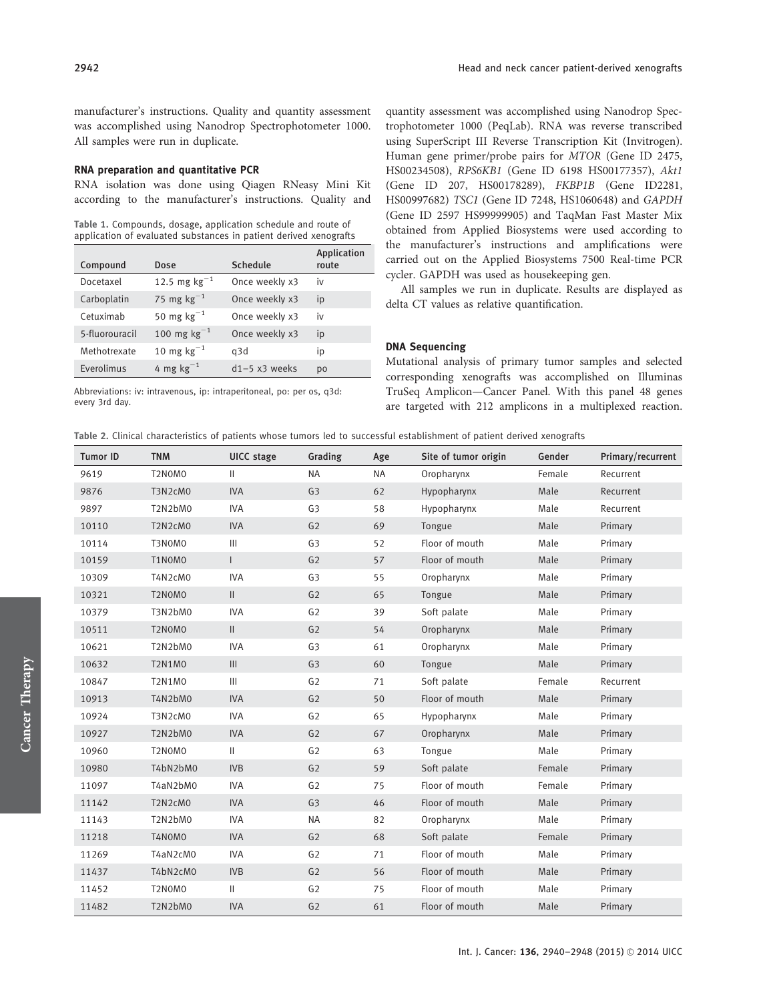manufacturer's instructions. Quality and quantity assessment was accomplished using Nanodrop Spectrophotometer 1000. All samples were run in duplicate.

#### RNA preparation and quantitative PCR

RNA isolation was done using Qiagen RNeasy Mini Kit according to the manufacturer's instructions. Quality and

Table 1. Compounds, dosage, application schedule and route of application of evaluated substances in patient derived xenografts

| Compound       | Dose                   | Schedule        | Application<br>route |
|----------------|------------------------|-----------------|----------------------|
| Docetaxel      | 12.5 mg $kg^{-1}$      | Once weekly x3  | iv                   |
| Carboplatin    | 75 mg $kg^{-1}$        | Once weekly x3  | ip                   |
| Cetuximab      | 50 mg $\text{kg}^{-1}$ | Once weekly x3  | iv                   |
| 5-fluorouracil | 100 mg $kg^{-1}$       | Once weekly x3  | ip                   |
| Methotrexate   | 10 mg $kg^{-1}$        | q3d             | ip                   |
| Everolimus     | 4 mg $kg^{-1}$         | $d1-5$ x3 weeks | p <sub>0</sub>       |

Abbreviations: iv: intravenous, ip: intraperitoneal, po: per os, q3d: every 3rd day.

quantity assessment was accomplished using Nanodrop Spectrophotometer 1000 (PeqLab). RNA was reverse transcribed using SuperScript III Reverse Transcription Kit (Invitrogen). Human gene primer/probe pairs for MTOR (Gene ID 2475, HS00234508), RPS6KB1 (Gene ID 6198 HS00177357), Akt1 (Gene ID 207, HS00178289), FKBP1B (Gene ID2281, HS00997682) TSC1 (Gene ID 7248, HS1060648) and GAPDH (Gene ID 2597 HS99999905) and TaqMan Fast Master Mix obtained from Applied Biosystems were used according to the manufacturer's instructions and amplifications were carried out on the Applied Biosystems 7500 Real-time PCR cycler. GAPDH was used as housekeeping gen.

All samples we run in duplicate. Results are displayed as delta CT values as relative quantification.

## DNA Sequencing

Mutational analysis of primary tumor samples and selected corresponding xenografts was accomplished on Illuminas TruSeq Amplicon—Cancer Panel. With this panel 48 genes are targeted with 212 amplicons in a multiplexed reaction.

Table 2. Clinical characteristics of patients whose tumors led to successful establishment of patient derived xenografts

| <b>Tumor ID</b> | <b>TNM</b>    | <b>UICC</b> stage                  | Grading        | Age       | Site of tumor origin | Gender | Primary/recurrent |
|-----------------|---------------|------------------------------------|----------------|-----------|----------------------|--------|-------------------|
| 9619            | T2N0M0        | $\mathbf{H}$                       | <b>NA</b>      | <b>NA</b> | Oropharynx           | Female | Recurrent         |
| 9876            | T3N2cM0       | <b>IVA</b>                         | G <sub>3</sub> | 62        | Hypopharynx          | Male   | Recurrent         |
| 9897            | T2N2bM0       | <b>IVA</b>                         | G <sub>3</sub> | 58        | Hypopharynx          | Male   | Recurrent         |
| 10110           | T2N2cM0       | <b>IVA</b>                         | G <sub>2</sub> | 69        | Tongue               | Male   | Primary           |
| 10114           | T3N0M0        | $\mathbf{III}$                     | G <sub>3</sub> | 52        | Floor of mouth       | Male   | Primary           |
| 10159           | T1N0M0        | $\overline{1}$                     | G <sub>2</sub> | 57        | Floor of mouth       | Male   | Primary           |
| 10309           | T4N2cM0       | <b>IVA</b>                         | G <sub>3</sub> | 55        | Oropharynx           | Male   | Primary           |
| 10321           | T2N0M0        | $\mathbf{  }$                      | G <sub>2</sub> | 65        | Tongue               | Male   | Primary           |
| 10379           | T3N2bM0       | <b>IVA</b>                         | G <sub>2</sub> | 39        | Soft palate          | Male   | Primary           |
| 10511           | T2N0M0        | $\vert\vert$                       | G <sub>2</sub> | 54        | Oropharynx           | Male   | Primary           |
| 10621           | T2N2bM0       | <b>IVA</b>                         | G <sub>3</sub> | 61        | Oropharynx           | Male   | Primary           |
| 10632           | <b>T2N1M0</b> | $\ensuremath{\mathsf{III}}\xspace$ | G <sub>3</sub> | 60        | Tongue               | Male   | Primary           |
| 10847           | <b>T2N1M0</b> | III                                | G <sub>2</sub> | 71        | Soft palate          | Female | Recurrent         |
| 10913           | T4N2bM0       | <b>IVA</b>                         | G <sub>2</sub> | 50        | Floor of mouth       | Male   | Primary           |
| 10924           | T3N2cM0       | <b>IVA</b>                         | G <sub>2</sub> | 65        | Hypopharynx          | Male   | Primary           |
| 10927           | T2N2bM0       | <b>IVA</b>                         | G <sub>2</sub> | 67        | Oropharynx           | Male   | Primary           |
| 10960           | T2N0M0        | $\mathbf{H}$                       | G <sub>2</sub> | 63        | Tongue               | Male   | Primary           |
| 10980           | T4bN2bM0      | <b>IVB</b>                         | G <sub>2</sub> | 59        | Soft palate          | Female | Primary           |
| 11097           | T4aN2bM0      | <b>IVA</b>                         | G <sub>2</sub> | 75        | Floor of mouth       | Female | Primary           |
| 11142           | T2N2cM0       | <b>IVA</b>                         | G <sub>3</sub> | 46        | Floor of mouth       | Male   | Primary           |
| 11143           | T2N2bM0       | <b>IVA</b>                         | <b>NA</b>      | 82        | Oropharynx           | Male   | Primary           |
| 11218           | T4N0M0        | <b>IVA</b>                         | G <sub>2</sub> | 68        | Soft palate          | Female | Primary           |
| 11269           | T4aN2cM0      | <b>IVA</b>                         | G <sub>2</sub> | 71        | Floor of mouth       | Male   | Primary           |
| 11437           | T4bN2cM0      | <b>IVB</b>                         | G <sub>2</sub> | 56        | Floor of mouth       | Male   | Primary           |
| 11452           | T2N0M0        | $\mathbf{H}$                       | G <sub>2</sub> | 75        | Floor of mouth       | Male   | Primary           |
| 11482           | T2N2bM0       | <b>IVA</b>                         | G <sub>2</sub> | 61        | Floor of mouth       | Male   | Primary           |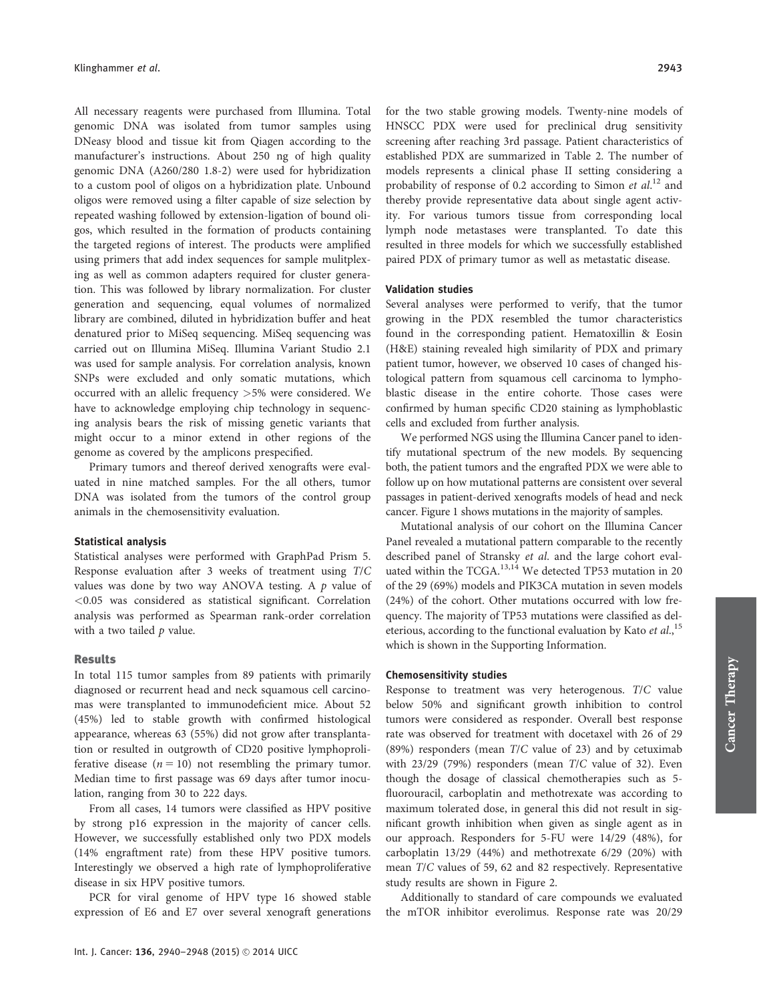All necessary reagents were purchased from Illumina. Total genomic DNA was isolated from tumor samples using DNeasy blood and tissue kit from Qiagen according to the manufacturer's instructions. About 250 ng of high quality genomic DNA (A260/280 1.8-2) were used for hybridization to a custom pool of oligos on a hybridization plate. Unbound oligos were removed using a filter capable of size selection by repeated washing followed by extension-ligation of bound oligos, which resulted in the formation of products containing the targeted regions of interest. The products were amplified using primers that add index sequences for sample mulitplexing as well as common adapters required for cluster generation. This was followed by library normalization. For cluster generation and sequencing, equal volumes of normalized library are combined, diluted in hybridization buffer and heat denatured prior to MiSeq sequencing. MiSeq sequencing was carried out on Illumina MiSeq. Illumina Variant Studio 2.1 was used for sample analysis. For correlation analysis, known SNPs were excluded and only somatic mutations, which occurred with an allelic frequency >5% were considered. We have to acknowledge employing chip technology in sequencing analysis bears the risk of missing genetic variants that might occur to a minor extend in other regions of the genome as covered by the amplicons prespecified.

Primary tumors and thereof derived xenografts were evaluated in nine matched samples. For the all others, tumor DNA was isolated from the tumors of the control group animals in the chemosensitivity evaluation.

#### Statistical analysis

Statistical analyses were performed with GraphPad Prism 5. Response evaluation after 3 weeks of treatment using T/C values was done by two way ANOVA testing. A  $p$  value of <0.05 was considered as statistical significant. Correlation analysis was performed as Spearman rank-order correlation with a two tailed  $p$  value.

#### Results

In total 115 tumor samples from 89 patients with primarily diagnosed or recurrent head and neck squamous cell carcinomas were transplanted to immunodeficient mice. About 52 (45%) led to stable growth with confirmed histological appearance, whereas 63 (55%) did not grow after transplantation or resulted in outgrowth of CD20 positive lymphoproliferative disease  $(n = 10)$  not resembling the primary tumor. Median time to first passage was 69 days after tumor inoculation, ranging from 30 to 222 days.

From all cases, 14 tumors were classified as HPV positive by strong p16 expression in the majority of cancer cells. However, we successfully established only two PDX models (14% engraftment rate) from these HPV positive tumors. Interestingly we observed a high rate of lymphoproliferative disease in six HPV positive tumors.

PCR for viral genome of HPV type 16 showed stable expression of E6 and E7 over several xenograft generations for the two stable growing models. Twenty-nine models of HNSCC PDX were used for preclinical drug sensitivity screening after reaching 3rd passage. Patient characteristics of established PDX are summarized in Table 2. The number of models represents a clinical phase II setting considering a probability of response of 0.2 according to Simon et al.<sup>12</sup> and thereby provide representative data about single agent activity. For various tumors tissue from corresponding local lymph node metastases were transplanted. To date this resulted in three models for which we successfully established paired PDX of primary tumor as well as metastatic disease.

#### Validation studies

Several analyses were performed to verify, that the tumor growing in the PDX resembled the tumor characteristics found in the corresponding patient. Hematoxillin & Eosin (H&E) staining revealed high similarity of PDX and primary patient tumor, however, we observed 10 cases of changed histological pattern from squamous cell carcinoma to lymphoblastic disease in the entire cohorte. Those cases were confirmed by human specific CD20 staining as lymphoblastic cells and excluded from further analysis.

We performed NGS using the Illumina Cancer panel to identify mutational spectrum of the new models. By sequencing both, the patient tumors and the engrafted PDX we were able to follow up on how mutational patterns are consistent over several passages in patient-derived xenografts models of head and neck cancer. Figure 1 shows mutations in the majority of samples.

Mutational analysis of our cohort on the Illumina Cancer Panel revealed a mutational pattern comparable to the recently described panel of Stransky et al. and the large cohort evaluated within the  $TCGA$ <sup>13,14</sup> We detected TP53 mutation in 20 of the 29 (69%) models and PIK3CA mutation in seven models (24%) of the cohort. Other mutations occurred with low frequency. The majority of TP53 mutations were classified as deleterious, according to the functional evaluation by Kato et al.,<sup>15</sup> which is shown in the Supporting Information.

#### Chemosensitivity studies

Response to treatment was very heterogenous. T/C value below 50% and significant growth inhibition to control tumors were considered as responder. Overall best response rate was observed for treatment with docetaxel with 26 of 29 (89%) responders (mean T/C value of 23) and by cetuximab with 23/29 (79%) responders (mean T/C value of 32). Even though the dosage of classical chemotherapies such as 5 fluorouracil, carboplatin and methotrexate was according to maximum tolerated dose, in general this did not result in significant growth inhibition when given as single agent as in our approach. Responders for 5-FU were 14/29 (48%), for carboplatin 13/29 (44%) and methotrexate 6/29 (20%) with mean T/C values of 59, 62 and 82 respectively. Representative study results are shown in Figure 2.

Additionally to standard of care compounds we evaluated the mTOR inhibitor everolimus. Response rate was 20/29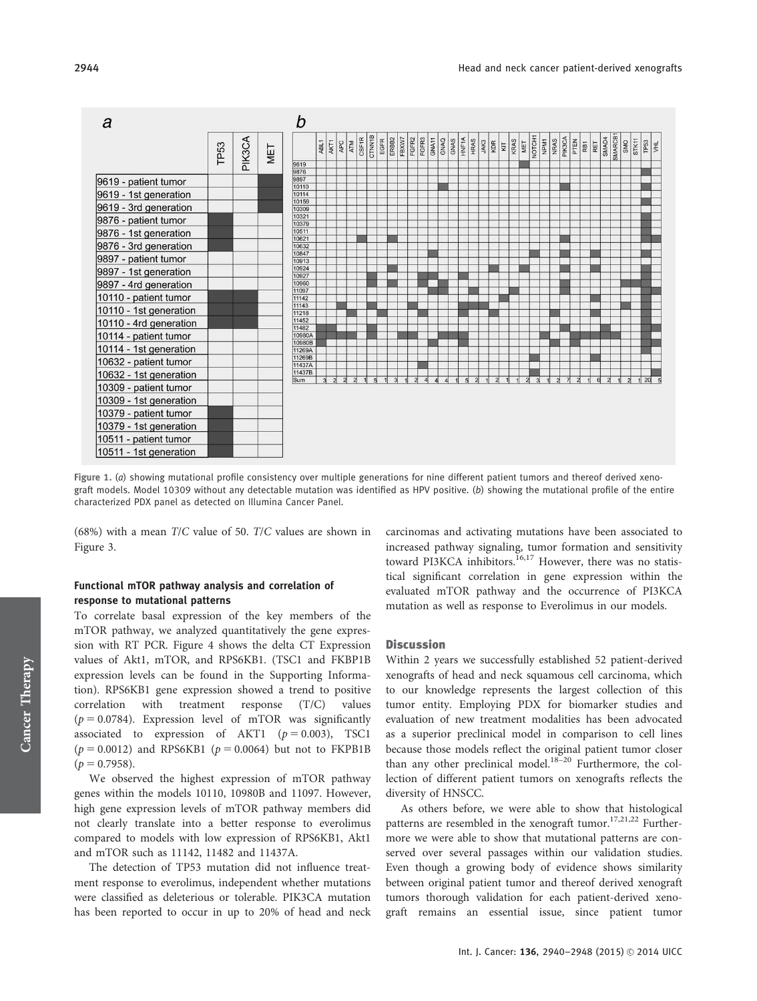

Figure 1. (a) showing mutational profile consistency over multiple generations for nine different patient tumors and thereof derived xenograft models. Model 10309 without any detectable mutation was identified as HPV positive. (b) showing the mutational profile of the entire characterized PDX panel as detected on Illumina Cancer Panel.

(68%) with a mean T/C value of 50. T/C values are shown in Figure 3.

# Functional mTOR pathway analysis and correlation of response to mutational patterns

To correlate basal expression of the key members of the mTOR pathway, we analyzed quantitatively the gene expression with RT PCR. Figure 4 shows the delta CT Expression values of Akt1, mTOR, and RPS6KB1. (TSC1 and FKBP1B expression levels can be found in the Supporting Information). RPS6KB1 gene expression showed a trend to positive correlation with treatment response (T/C) values ( $p = 0.0784$ ). Expression level of mTOR was significantly associated to expression of AKT1 ( $p = 0.003$ ), TSC1  $(p = 0.0012)$  and RPS6KB1  $(p = 0.0064)$  but not to FKPB1B  $(p = 0.7958)$ .

We observed the highest expression of mTOR pathway genes within the models 10110, 10980B and 11097. However, high gene expression levels of mTOR pathway members did not clearly translate into a better response to everolimus compared to models with low expression of RPS6KB1, Akt1 and mTOR such as 11142, 11482 and 11437A.

The detection of TP53 mutation did not influence treatment response to everolimus, independent whether mutations were classified as deleterious or tolerable. PIK3CA mutation has been reported to occur in up to 20% of head and neck carcinomas and activating mutations have been associated to increased pathway signaling, tumor formation and sensitivity toward PI3KCA inhibitors.<sup>16,17</sup> However, there was no statistical significant correlation in gene expression within the evaluated mTOR pathway and the occurrence of PI3KCA mutation as well as response to Everolimus in our models.

#### **Discussion**

Within 2 years we successfully established 52 patient-derived xenografts of head and neck squamous cell carcinoma, which to our knowledge represents the largest collection of this tumor entity. Employing PDX for biomarker studies and evaluation of new treatment modalities has been advocated as a superior preclinical model in comparison to cell lines because those models reflect the original patient tumor closer than any other preclinical model.<sup>18–20</sup> Furthermore, the collection of different patient tumors on xenografts reflects the diversity of HNSCC.

As others before, we were able to show that histological patterns are resembled in the xenograft tumor.<sup>17,21,22</sup> Furthermore we were able to show that mutational patterns are conserved over several passages within our validation studies. Even though a growing body of evidence shows similarity between original patient tumor and thereof derived xenograft tumors thorough validation for each patient-derived xenograft remains an essential issue, since patient tumor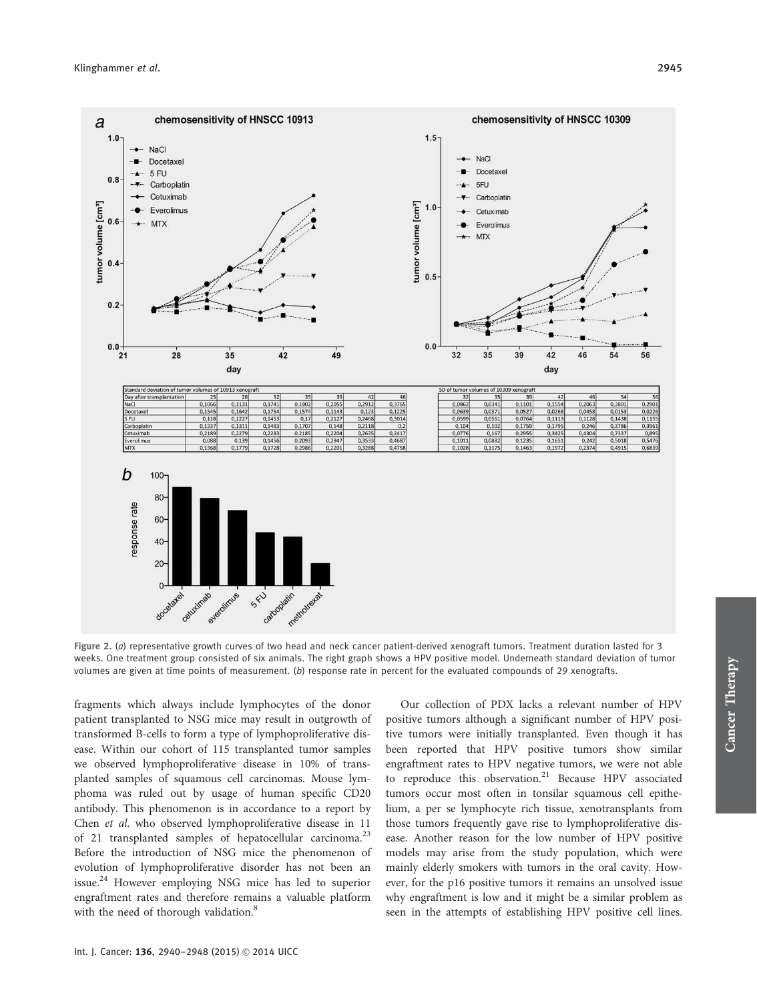

Figure 2. (a) representative growth curves of two head and neck cancer patient-derived xenograft tumors. Treatment duration lasted for 3 weeks. One treatment group consisted of six animals. The right graph shows a HPV positive model. Underneath standard deviation of tumor volumes are given at time points of measurement.  $(b)$  response rate in percent for the evaluated compounds of 29 xenografts.

fragments which always include lymphocytes of the donor patient transplanted to NSG mice may result in outgrowth of transformed B-cells to form a type of lymphoproliferative disease. Within our cohort of 115 transplanted tumor samples we observed lymphoproliferative disease in 10% of transplanted samples of squamous cell carcinomas. Mouse lymphoma was ruled out by usage of human specific CD20 antibody. This phenomenon is in accordance to a report by Chen et al. who observed lymphoproliferative disease in 11 of 21 transplanted samples of hepatocellular carcinoma.<sup>23</sup> Before the introduction of NSG mice the phenomenon of evolution of lymphoproliferative disorder has not been an issue.<sup>24</sup> However employing NSG mice has led to superior engraftment rates and therefore remains a valuable platform with the need of thorough validation.<sup>8</sup>

Our collection of PDX lacks a relevant number of HPV positive tumors although a significant number of HPV positive tumors were initially transplanted. Even though it has been reported that HPV positive tumors show similar engraftment rates to HPV negative tumors, we were not able to reproduce this observation.<sup>21</sup> Because HPV associated tumors occur most often in tonsilar squamous cell epithelium, a per se lymphocyte rich tissue, xenotransplants from those tumors frequently gave rise to lymphoproliferative disease. Another reason for the low number of HPV positive models may arise from the study population, which were mainly elderly smokers with tumors in the oral cavity. However, for the p16 positive tumors it remains an unsolved issue why engraftment is low and it might be a similar problem as seen in the attempts of establishing HPV positive cell lines.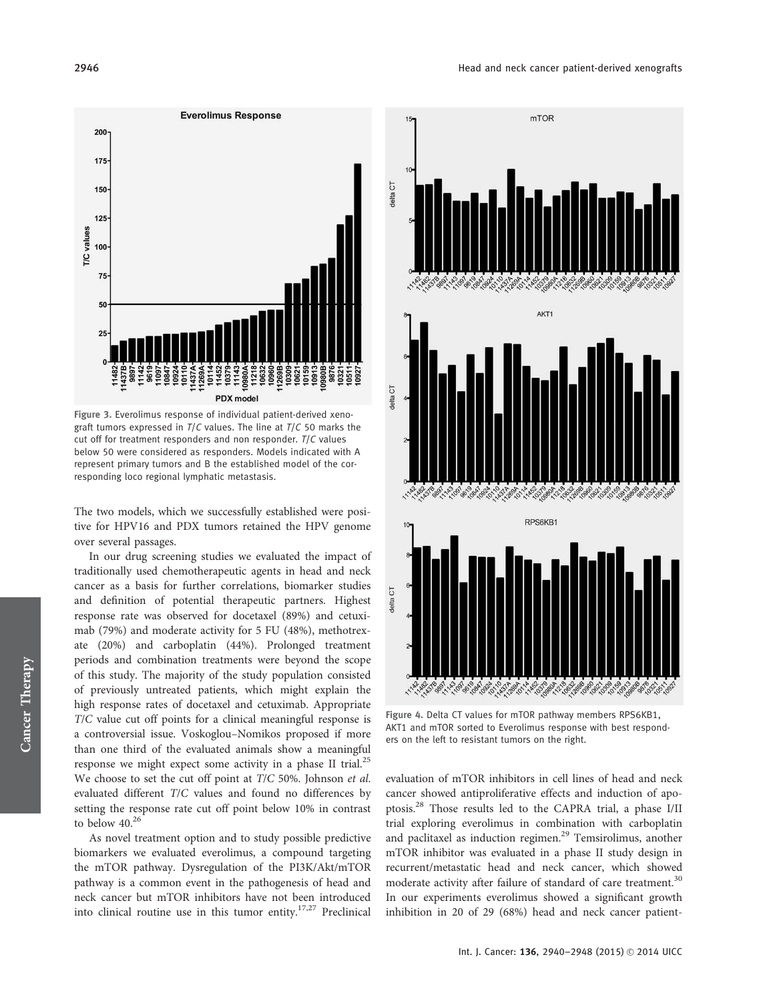

Figure 3. Everolimus response of individual patient-derived xenograft tumors expressed in  $T/C$  values. The line at  $T/C$  50 marks the cut off for treatment responders and non responder.  $T/C$  values below 50 were considered as responders. Models indicated with A represent primary tumors and B the established model of the corresponding loco regional lymphatic metastasis.

The two models, which we successfully established were positive for HPV16 and PDX tumors retained the HPV genome over several passages.

In our drug screening studies we evaluated the impact of traditionally used chemotherapeutic agents in head and neck cancer as a basis for further correlations, biomarker studies and definition of potential therapeutic partners. Highest response rate was observed for docetaxel (89%) and cetuximab (79%) and moderate activity for 5 FU (48%), methotrexate (20%) and carboplatin (44%). Prolonged treatment periods and combination treatments were beyond the scope of this study. The majority of the study population consisted of previously untreated patients, which might explain the high response rates of docetaxel and cetuximab. Appropriate T/C value cut off points for a clinical meaningful response is a controversial issue. Voskoglou–Nomikos proposed if more than one third of the evaluated animals show a meaningful response we might expect some activity in a phase II trial.<sup>25</sup> We choose to set the cut off point at T/C 50%. Johnson et al. evaluated different T/C values and found no differences by setting the response rate cut off point below 10% in contrast to below  $40^{26}$ 

As novel treatment option and to study possible predictive biomarkers we evaluated everolimus, a compound targeting the mTOR pathway. Dysregulation of the PI3K/Akt/mTOR pathway is a common event in the pathogenesis of head and neck cancer but mTOR inhibitors have not been introduced into clinical routine use in this tumor entity.<sup>17,27</sup> Preclinical



Figure 4. Delta CT values for mTOR pathway members RPS6KB1, AKT1 and mTOR sorted to Everolimus response with best responders on the left to resistant tumors on the right.

evaluation of mTOR inhibitors in cell lines of head and neck cancer showed antiproliferative effects and induction of apoptosis.28 Those results led to the CAPRA trial, a phase I/II trial exploring everolimus in combination with carboplatin and paclitaxel as induction regimen.<sup>29</sup> Temsirolimus, another mTOR inhibitor was evaluated in a phase II study design in recurrent/metastatic head and neck cancer, which showed moderate activity after failure of standard of care treatment.<sup>30</sup> In our experiments everolimus showed a significant growth inhibition in 20 of 29 (68%) head and neck cancer patient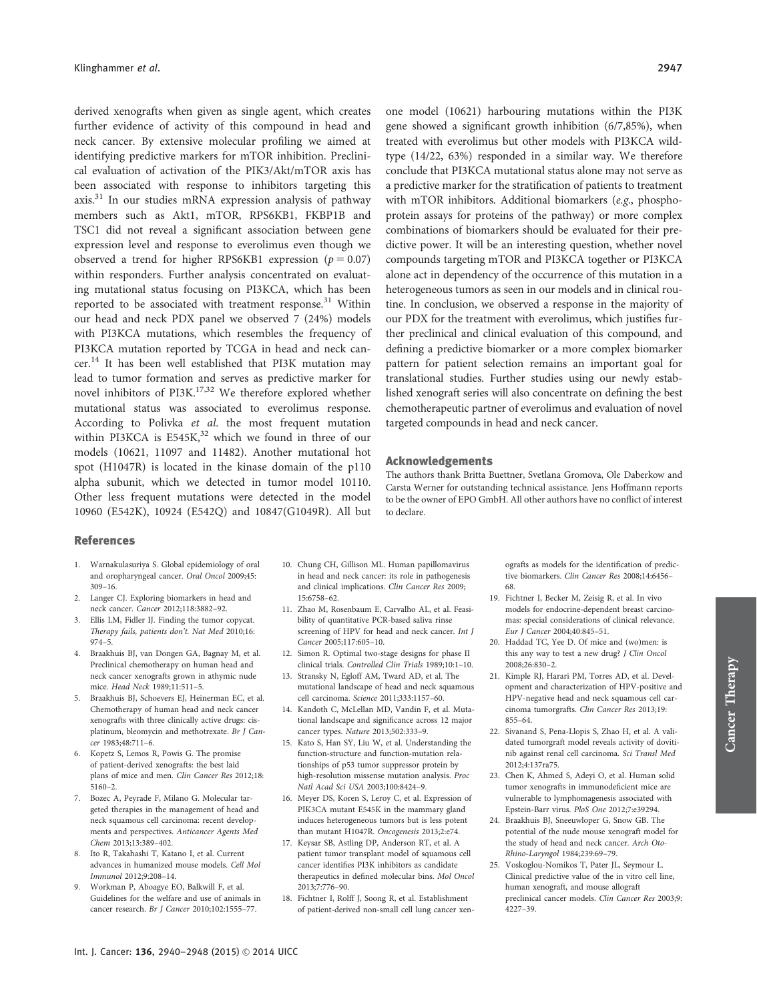derived xenografts when given as single agent, which creates further evidence of activity of this compound in head and neck cancer. By extensive molecular profiling we aimed at identifying predictive markers for mTOR inhibition. Preclinical evaluation of activation of the PIK3/Akt/mTOR axis has been associated with response to inhibitors targeting this axis.<sup>31</sup> In our studies mRNA expression analysis of pathway members such as Akt1, mTOR, RPS6KB1, FKBP1B and TSC1 did not reveal a significant association between gene expression level and response to everolimus even though we observed a trend for higher RPS6KB1 expression ( $p = 0.07$ ) within responders. Further analysis concentrated on evaluating mutational status focusing on PI3KCA, which has been reported to be associated with treatment response.<sup>31</sup> Within our head and neck PDX panel we observed 7 (24%) models with PI3KCA mutations, which resembles the frequency of PI3KCA mutation reported by TCGA in head and neck cancer.<sup>14</sup> It has been well established that PI3K mutation may lead to tumor formation and serves as predictive marker for novel inhibitors of PI3K.<sup>17,32</sup> We therefore explored whether mutational status was associated to everolimus response. According to Polivka et al. the most frequent mutation within PI3KCA is  $E545K$ ,<sup>32</sup> which we found in three of our models (10621, 11097 and 11482). Another mutational hot spot (H1047R) is located in the kinase domain of the p110 alpha subunit, which we detected in tumor model 10110. Other less frequent mutations were detected in the model 10960 (E542K), 10924 (E542Q) and 10847(G1049R). All but

one model (10621) harbouring mutations within the PI3K gene showed a significant growth inhibition (6/7,85%), when treated with everolimus but other models with PI3KCA wildtype (14/22, 63%) responded in a similar way. We therefore conclude that PI3KCA mutational status alone may not serve as a predictive marker for the stratification of patients to treatment with mTOR inhibitors. Additional biomarkers (e.g., phosphoprotein assays for proteins of the pathway) or more complex combinations of biomarkers should be evaluated for their predictive power. It will be an interesting question, whether novel compounds targeting mTOR and PI3KCA together or PI3KCA alone act in dependency of the occurrence of this mutation in a heterogeneous tumors as seen in our models and in clinical routine. In conclusion, we observed a response in the majority of our PDX for the treatment with everolimus, which justifies further preclinical and clinical evaluation of this compound, and defining a predictive biomarker or a more complex biomarker pattern for patient selection remains an important goal for translational studies. Further studies using our newly established xenograft series will also concentrate on defining the best chemotherapeutic partner of everolimus and evaluation of novel targeted compounds in head and neck cancer.

#### Acknowledgements

The authors thank Britta Buettner, Svetlana Gromova, Ole Daberkow and Carsta Werner for outstanding technical assistance. Jens Hoffmann reports to be the owner of EPO GmbH. All other authors have no conflict of interest to declare.

#### References

- 1. Warnakulasuriya S. Global epidemiology of oral and oropharyngeal cancer. Oral Oncol 2009;45: 309–16.
- 2. Langer CJ. Exploring biomarkers in head and neck cancer. Cancer 2012;118:3882–92.
- Ellis LM, Fidler IJ. Finding the tumor copycat. Therapy fails, patients don't. Nat Med 2010;16: 974–5.
- 4. Braakhuis BJ, van Dongen GA, Bagnay M, et al. Preclinical chemotherapy on human head and neck cancer xenografts grown in athymic nude mice. Head Neck 1989;11:511–5.
- 5. Braakhuis BJ, Schoevers EJ, Heinerman EC, et al. Chemotherapy of human head and neck cancer xenografts with three clinically active drugs: cisplatinum, bleomycin and methotrexate. Br J Cancer 1983;48:711–6.
- 6. Kopetz S, Lemos R, Powis G. The promise of patient-derived xenografts: the best laid plans of mice and men. Clin Cancer Res 2012;18: 5160–2.
- 7. Bozec A, Peyrade F, Milano G. Molecular targeted therapies in the management of head and neck squamous cell carcinoma: recent developments and perspectives. Anticancer Agents Med Chem 2013;13:389–402.
- 8. Ito R, Takahashi T, Katano I, et al. Current advances in humanized mouse models. Cell Mol Immunol 2012;9:208–14.
- 9. Workman P, Aboagye EO, Balkwill F, et al. Guidelines for the welfare and use of animals in cancer research. Br J Cancer 2010;102:1555–77.
- 10. Chung CH, Gillison ML. Human papillomavirus in head and neck cancer: its role in pathogenesis and clinical implications. Clin Cancer Res 2009; 15:6758–62.
- 11. Zhao M, Rosenbaum E, Carvalho AL, et al. Feasibility of quantitative PCR-based saliva rinse screening of HPV for head and neck cancer. Int J Cancer 2005;117:605–10.
- 12. Simon R. Optimal two-stage designs for phase II clinical trials. Controlled Clin Trials 1989;10:1–10.
- 13. Stransky N, Egloff AM, Tward AD, et al. The mutational landscape of head and neck squamous cell carcinoma. Science 2011;333:1157–60.
- 14. Kandoth C, McLellan MD, Vandin F, et al. Mutational landscape and significance across 12 major cancer types. Nature 2013;502:333–9.
- 15. Kato S, Han SY, Liu W, et al. Understanding the function-structure and function-mutation relationships of p53 tumor suppressor protein by high-resolution missense mutation analysis. Proc Natl Acad Sci USA 2003;100:8424–9.
- 16. Meyer DS, Koren S, Leroy C, et al. Expression of PIK3CA mutant E545K in the mammary gland induces heterogeneous tumors but is less potent than mutant H1047R. Oncogenesis 2013;2:e74.
- 17. Keysar SB, Astling DP, Anderson RT, et al. A patient tumor transplant model of squamous cell cancer identifies PI3K inhibitors as candidate therapeutics in defined molecular bins. Mol Oncol 2013;7:776–90.
- 18. Fichtner I, Rolff J, Soong R, et al. Establishment of patient-derived non-small cell lung cancer xen-

ografts as models for the identification of predictive biomarkers. Clin Cancer Res 2008;14:6456– 68.

- 19. Fichtner I, Becker M, Zeisig R, et al. In vivo models for endocrine-dependent breast carcinomas: special considerations of clinical relevance. Eur J Cancer 2004;40:845–51.
- 20. Haddad TC, Yee D. Of mice and (wo)men: is this any way to test a new drug? J Clin Oncol 2008;26:830–2.
- 21. Kimple RJ, Harari PM, Torres AD, et al. Development and characterization of HPV-positive and HPV-negative head and neck squamous cell carcinoma tumorgrafts. Clin Cancer Res 2013;19: 855–64.

Cancer Therapy

Cancer Therapy

- 22. Sivanand S, Pena-Llopis S, Zhao H, et al. A validated tumorgraft model reveals activity of dovitinib against renal cell carcinoma. Sci Transl Med 2012;4:137ra75.
- 23. Chen K, Ahmed S, Adeyi O, et al. Human solid tumor xenografts in immunodeficient mice are vulnerable to lymphomagenesis associated with Epstein-Barr virus. PloS One 2012;7:e39294.
- 24. Braakhuis BJ, Sneeuwloper G, Snow GB. The potential of the nude mouse xenograft model for the study of head and neck cancer. Arch Oto-Rhino-Laryngol 1984;239:69–79.
- 25. Voskoglou-Nomikos T, Pater JL, Seymour L. Clinical predictive value of the in vitro cell line, human xenograft, and mouse allograft preclinical cancer models. Clin Cancer Res 2003;9: 4227–39.